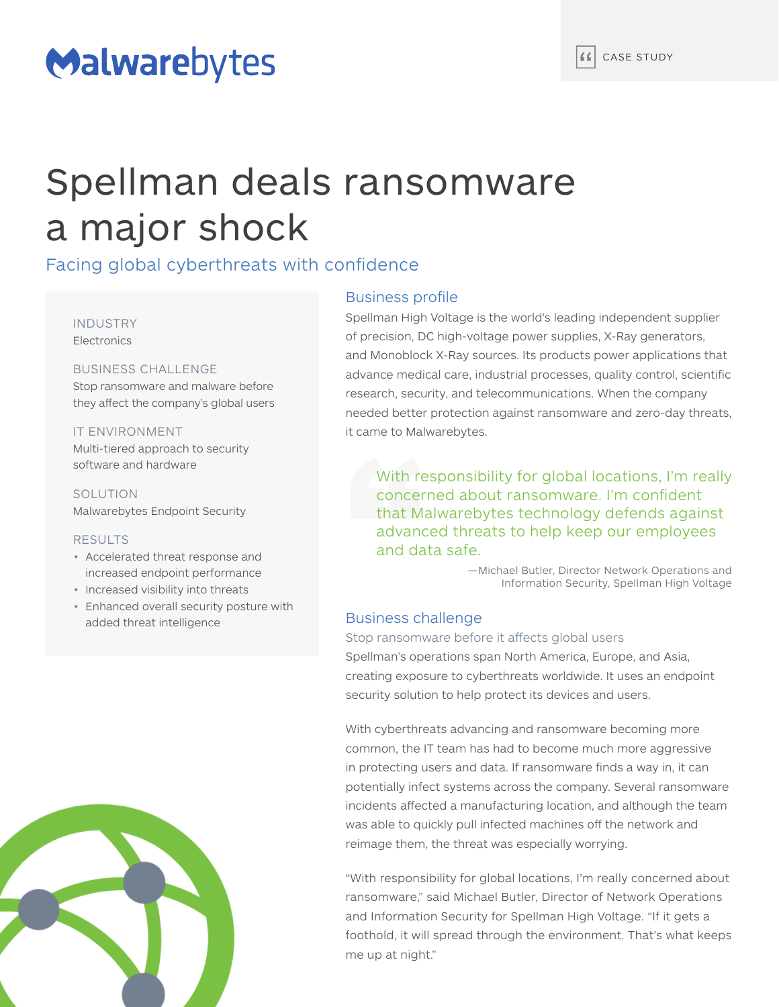# Malwarebytes

# Spellman deals ransomware a major shock

# Facing global cyberthreats with confidence

## INDUSTRY **Electronics**

# BUSINESS CHALLENGE

Stop ransomware and malware before they affect the company's global users

# IT ENVIRONMENT

Multi-tiered approach to security software and hardware

SOLUTION Malwarebytes Endpoint Security

### RESULTS

- Accelerated threat response and increased endpoint performance
- Increased visibility into threats
- Enhanced overall security posture with added threat intelligence



# Business profile

Spellman High Voltage is the world's leading independent supplier of precision, DC high-voltage power supplies, X-Ray generators, and Monoblock X-Ray sources. Its products power applications that advance medical care, industrial processes, quality control, scientific research, security, and telecommunications. When the company needed better protection against ransomware and zero-day threats, it came to Malwarebytes.

With responsibility for global locations, I'm really concerned about ransomware. I'm confident that Malwarebytes technology defends against advanced threats to help keep our employees and data safe.

> —Michael Butler, Director Network Operations and Information Security, Spellman High Voltage

# Business challenge

### Stop ransomware before it affects global users

Spellman's operations span North America, Europe, and Asia, creating exposure to cyberthreats worldwide. It uses an endpoint security solution to help protect its devices and users.

With cyberthreats advancing and ransomware becoming more common, the IT team has had to become much more aggressive in protecting users and data. If ransomware finds a way in, it can potentially infect systems across the company. Several ransomware incidents affected a manufacturing location, and although the team was able to quickly pull infected machines off the network and reimage them, the threat was especially worrying.

"With responsibility for global locations, I'm really concerned about ransomware," said Michael Butler, Director of Network Operations and Information Security for Spellman High Voltage. "If it gets a foothold, it will spread through the environment. That's what keeps me up at night."